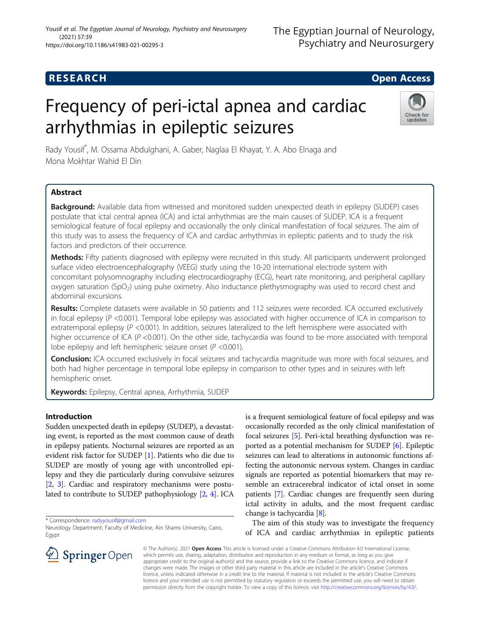## **RESEARCH CHILD CONTROL** CONTROL CONTROL CONTROL CONTROL CONTROL CONTROL CONTROL CONTROL CONTROL CONTROL CONTROL

# Frequency of peri-ictal apnea and cardiac arrhythmias in epileptic seizures



Rady Yousif\* , M. Ossama Abdulghani, A. Gaber, Naglaa El Khayat, Y. A. Abo Elnaga and Mona Mokhtar Wahid El Din

## Abstract

Background: Available data from witnessed and monitored sudden unexpected death in epilepsy (SUDEP) cases postulate that ictal central apnea (ICA) and ictal arrhythmias are the main causes of SUDEP. ICA is a frequent semiological feature of focal epilepsy and occasionally the only clinical manifestation of focal seizures. The aim of this study was to assess the frequency of ICA and cardiac arrhythmias in epileptic patients and to study the risk factors and predictors of their occurrence.

Methods: Fifty patients diagnosed with epilepsy were recruited in this study. All participants underwent prolonged surface video electroencephalography (VEEG) study using the 10-20 international electrode system with concomitant polysomnography including electrocardiography (ECG), heart rate monitoring, and peripheral capillary  $o$ xygen saturation (SpO<sub>2</sub>) using pulse oximetry. Also inductance plethysmography was used to record chest and abdominal excursions.

Results: Complete datasets were available in 50 patients and 112 seizures were recorded. ICA occurred exclusively in focal epilepsy  $(P \le 0.001)$ . Temporal lobe epilepsy was associated with higher occurrence of ICA in comparison to extratemporal epilepsy (P <0.001). In addition, seizures lateralized to the left hemisphere were associated with higher occurrence of ICA ( $P$  <0.001). On the other side, tachycardia was found to be more associated with temporal lobe epilepsy and left hemispheric seizure onset ( $P < 0.001$ ).

Conclusion: ICA occurred exclusively in focal seizures and tachycardia magnitude was more with focal seizures, and both had higher percentage in temporal lobe epilepsy in comparison to other types and in seizures with left hemispheric onset.

Keywords: Epilepsy, Central apnea, Arrhythmia, SUDEP

## Introduction

Sudden unexpected death in epilepsy (SUDEP), a devastating event, is reported as the most common cause of death in epilepsy patients. Nocturnal seizures are reported as an evident risk factor for SUDEP [\[1](#page-6-0)]. Patients who die due to SUDEP are mostly of young age with uncontrolled epilepsy and they die particularly during convulsive seizures [[2,](#page-6-0) [3\]](#page-6-0). Cardiac and respiratory mechanisms were postulated to contribute to SUDEP pathophysiology [[2,](#page-6-0) [4\]](#page-6-0). ICA

\* Correspondence: [radyyousif@gmail.com](mailto:radyyousif@gmail.com)

is a frequent semiological feature of focal epilepsy and was occasionally recorded as the only clinical manifestation of focal seizures [\[5\]](#page-6-0). Peri-ictal breathing dysfunction was reported as a potential mechanism for SUDEP [[6](#page-6-0)]. Epileptic seizures can lead to alterations in autonomic functions affecting the autonomic nervous system. Changes in cardiac signals are reported as potential biomarkers that may resemble an extracerebral indicator of ictal onset in some patients [[7](#page-6-0)]. Cardiac changes are frequently seen during ictal activity in adults, and the most frequent cardiac change is tachycardia [\[8](#page-6-0)].

The aim of this study was to investigate the frequency of ICA and cardiac arrhythmias in epileptic patients



© The Author(s). 2021 Open Access This article is licensed under a Creative Commons Attribution 4.0 International License, which permits use, sharing, adaptation, distribution and reproduction in any medium or format, as long as you give appropriate credit to the original author(s) and the source, provide a link to the Creative Commons licence, and indicate if changes were made. The images or other third party material in this article are included in the article's Creative Commons licence, unless indicated otherwise in a credit line to the material. If material is not included in the article's Creative Commons licence and your intended use is not permitted by statutory regulation or exceeds the permitted use, you will need to obtain permission directly from the copyright holder. To view a copy of this licence, visit <http://creativecommons.org/licenses/by/4.0/>.

Neurology Department, Faculty of Medicine, Ain Shams University, Cairo, Egypt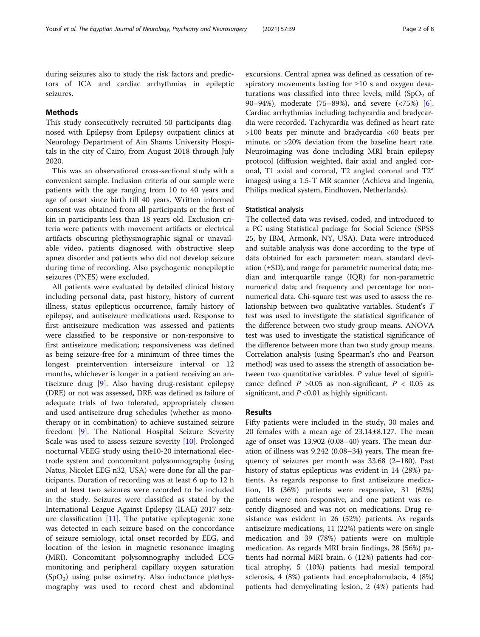during seizures also to study the risk factors and predictors of ICA and cardiac arrhythmias in epileptic seizures.

#### Methods

This study consecutively recruited 50 participants diagnosed with Epilepsy from Epilepsy outpatient clinics at Neurology Department of Ain Shams University Hospitals in the city of Cairo, from August 2018 through July 2020.

This was an observational cross-sectional study with a convenient sample. Inclusion criteria of our sample were patients with the age ranging from 10 to 40 years and age of onset since birth till 40 years. Written informed consent was obtained from all participants or the first of kin in participants less than 18 years old. Exclusion criteria were patients with movement artifacts or electrical artifacts obscuring plethysmographic signal or unavailable video, patients diagnosed with obstructive sleep apnea disorder and patients who did not develop seizure during time of recording. Also psychogenic nonepileptic seizures (PNES) were excluded.

All patients were evaluated by detailed clinical history including personal data, past history, history of current illness, status epilepticus occurrence, family history of epilepsy, and antiseizure medications used. Response to first antiseizure medication was assessed and patients were classified to be responsive or non-responsive to first antiseizure medication; responsiveness was defined as being seizure-free for a minimum of three times the longest preintervention interseizure interval or 12 months, whichever is longer in a patient receiving an antiseizure drug [[9\]](#page-6-0). Also having drug-resistant epilepsy (DRE) or not was assessed, DRE was defined as failure of adequate trials of two tolerated, appropriately chosen and used antiseizure drug schedules (whether as monotherapy or in combination) to achieve sustained seizure freedom [\[9](#page-6-0)]. The National Hospital Seizure Severity Scale was used to assess seizure severity [\[10](#page-6-0)]. Prolonged nocturnal VEEG study using the10-20 international electrode system and concomitant polysomnography (using Natus, Nicolet EEG n32, USA) were done for all the participants. Duration of recording was at least 6 up to 12 h and at least two seizures were recorded to be included in the study. Seizures were classified as stated by the International League Against Epilepsy (ILAE) 2017 seizure classification [[11](#page-6-0)]. The putative epileptogenic zone was detected in each seizure based on the concordance of seizure semiology, ictal onset recorded by EEG, and location of the lesion in magnetic resonance imaging (MRI). Concomitant polysomnography included ECG monitoring and peripheral capillary oxygen saturation  $(SpO<sub>2</sub>)$  using pulse oximetry. Also inductance plethysmography was used to record chest and abdominal

excursions. Central apnea was defined as cessation of respiratory movements lasting for ≥10 s and oxygen desaturations was classified into three levels, mild  $(SpO<sub>2</sub>$  of 90–94%), moderate (75–89%), and severe (<75%) [\[6](#page-6-0)]. Cardiac arrhythmias including tachycardia and bradycardia were recorded. Tachycardia was defined as heart rate >100 beats per minute and bradycardia <60 beats per minute, or >20% deviation from the baseline heart rate. Neuroimaging was done including MRI brain epilepsy protocol (diffusion weighted, flair axial and angled coronal, T1 axial and coronal, T2 angled coronal and T2\* images) using a 1.5-T MR scanner (Achieva and Ingenia, Philips medical system, Eindhoven, Netherlands).

#### Statistical analysis

The collected data was revised, coded, and introduced to a PC using Statistical package for Social Science (SPSS 25, by IBM, Armonk, NY, USA). Data were introduced and suitable analysis was done according to the type of data obtained for each parameter: mean, standard deviation (±SD), and range for parametric numerical data; median and interquartile range (IQR) for non-parametric numerical data; and frequency and percentage for nonnumerical data. Chi-square test was used to assess the relationship between two qualitative variables. Student's T test was used to investigate the statistical significance of the difference between two study group means. ANOVA test was used to investigate the statistical significance of the difference between more than two study group means. Correlation analysis (using Spearman's rho and Pearson method) was used to assess the strength of association between two quantitative variables.  $P$  value level of significance defined  $P > 0.05$  as non-significant,  $P < 0.05$  as significant, and  $P \le 0.01$  as highly significant.

#### Results

Fifty patients were included in the study, 30 males and 20 females with a mean age of 23.14±8.127. The mean age of onset was 13.902 (0.08–40) years. The mean duration of illness was 9.242 (0.08–34) years. The mean frequency of seizures per month was 33.68 (2–180). Past history of status epilepticus was evident in 14 (28%) patients. As regards response to first antiseizure medication, 18 (36%) patients were responsive, 31 (62%) patients were non-responsive, and one patient was recently diagnosed and was not on medications. Drug resistance was evident in 26 (52%) patients. As regards antiseizure medications, 11 (22%) patients were on single medication and 39 (78%) patients were on multiple medication. As regards MRI brain findings, 28 (56%) patients had normal MRI brain, 6 (12%) patients had cortical atrophy, 5 (10%) patients had mesial temporal sclerosis, 4 (8%) patients had encephalomalacia, 4 (8%) patients had demyelinating lesion, 2 (4%) patients had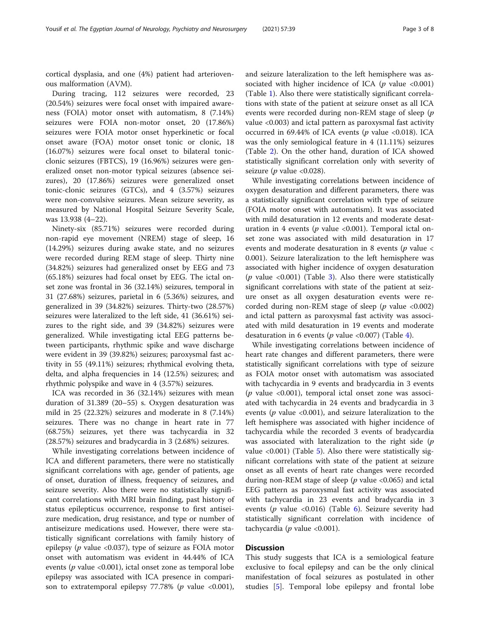cortical dysplasia, and one (4%) patient had arteriovenous malformation (AVM).

During tracing, 112 seizures were recorded, 23 (20.54%) seizures were focal onset with impaired awareness (FOIA) motor onset with automatism, 8 (7.14%) seizures were FOIA non-motor onset, 20 (17.86%) seizures were FOIA motor onset hyperkinetic or focal onset aware (FOA) motor onset tonic or clonic, 18 (16.07%) seizures were focal onset to bilateral tonicclonic seizures (FBTCS), 19 (16.96%) seizures were generalized onset non-motor typical seizures (absence seizures), 20 (17.86%) seizures were generalized onset tonic-clonic seizures (GTCs), and 4 (3.57%) seizures were non-convulsive seizures. Mean seizure severity, as measured by National Hospital Seizure Severity Scale, was 13.938 (4–22).

Ninety-six (85.71%) seizures were recorded during non-rapid eye movement (NREM) stage of sleep, 16 (14.29%) seizures during awake state, and no seizures were recorded during REM stage of sleep. Thirty nine (34.82%) seizures had generalized onset by EEG and 73 (65.18%) seizures had focal onset by EEG. The ictal onset zone was frontal in 36 (32.14%) seizures, temporal in 31 (27.68%) seizures, parietal in 6 (5.36%) seizures, and generalized in 39 (34.82%) seizures. Thirty-two (28.57%) seizures were lateralized to the left side, 41 (36.61%) seizures to the right side, and 39 (34.82%) seizures were generalized. While investigating ictal EEG patterns between participants, rhythmic spike and wave discharge were evident in 39 (39.82%) seizures; paroxysmal fast activity in 55 (49.11%) seizures; rhythmical evolving theta, delta, and alpha frequencies in 14 (12.5%) seizures; and rhythmic polyspike and wave in 4 (3.57%) seizures.

ICA was recorded in 36 (32.14%) seizures with mean duration of 31.389 (20–55) s. Oxygen desaturation was mild in 25 (22.32%) seizures and moderate in 8 (7.14%) seizures. There was no change in heart rate in 77 (68.75%) seizures, yet there was tachycardia in 32 (28.57%) seizures and bradycardia in 3 (2.68%) seizures.

While investigating correlations between incidence of ICA and different parameters, there were no statistically significant correlations with age, gender of patients, age of onset, duration of illness, frequency of seizures, and seizure severity. Also there were no statistically significant correlations with MRI brain finding, past history of status epilepticus occurrence, response to first antiseizure medication, drug resistance, and type or number of antiseizure medications used. However, there were statistically significant correlations with family history of epilepsy ( $p$  value <0.037), type of seizure as FOIA motor onset with automatism was evident in 44.44% of ICA events ( $p$  value <0.001), ictal onset zone as temporal lobe epilepsy was associated with ICA presence in comparison to extratemporal epilepsy  $77.78\%$  (p value <0.001),

and seizure lateralization to the left hemisphere was associated with higher incidence of ICA ( $p$  value <0.001) (Table [1\)](#page-3-0). Also there were statistically significant correlations with state of the patient at seizure onset as all ICA events were recorded during non-REM stage of sleep (p value <0.003) and ictal pattern as paroxysmal fast activity occurred in 69.44% of ICA events ( $p$  value <0.018). ICA was the only semiological feature in 4 (11.11%) seizures (Table [2\)](#page-3-0). On the other hand, duration of ICA showed statistically significant correlation only with severity of seizure ( $p$  value <0.028).

While investigating correlations between incidence of oxygen desaturation and different parameters, there was a statistically significant correlation with type of seizure (FOIA motor onset with automatism). It was associated with mild desaturation in 12 events and moderate desaturation in 4 events ( $p$  value <0.001). Temporal ictal onset zone was associated with mild desaturation in 17 events and moderate desaturation in 8 events ( $p$  value  $\lt$ 0.001). Seizure lateralization to the left hemisphere was associated with higher incidence of oxygen desaturation ( $p$  value <0.001) (Table [3\)](#page-4-0). Also there were statistically significant correlations with state of the patient at seizure onset as all oxygen desaturation events were recorded during non-REM stage of sleep ( $p$  value <0.002) and ictal pattern as paroxysmal fast activity was associated with mild desaturation in 19 events and moderate desaturation in 6 events ( $p$  value <0.007) (Table [4](#page-4-0)).

While investigating correlations between incidence of heart rate changes and different parameters, there were statistically significant correlations with type of seizure as FOIA motor onset with automatism was associated with tachycardia in 9 events and bradycardia in 3 events ( $p$  value <0.001), temporal ictal onset zone was associated with tachycardia in 24 events and bradycardia in 3 events ( $p$  value <0.001), and seizure lateralization to the left hemisphere was associated with higher incidence of tachycardia while the recorded 3 events of bradycardia was associated with lateralization to the right side  $(p)$ value <0.001) (Table [5\)](#page-5-0). Also there were statistically significant correlations with state of the patient at seizure onset as all events of heart rate changes were recorded during non-REM stage of sleep ( $p$  value <0.065) and ictal EEG pattern as paroxysmal fast activity was associated with tachycardia in 23 events and bradycardia in 3 events ( $p$  value <0.01[6](#page-5-0)) (Table 6). Seizure severity had statistically significant correlation with incidence of tachycardia ( $p$  value <0.001).

#### **Discussion**

This study suggests that ICA is a semiological feature exclusive to focal epilepsy and can be the only clinical manifestation of focal seizures as postulated in other studies [\[5](#page-6-0)]. Temporal lobe epilepsy and frontal lobe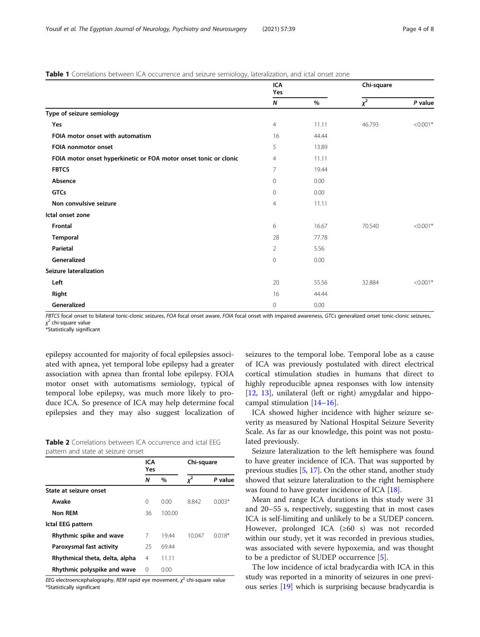#### <span id="page-3-0"></span>**Table 1** Correlations between ICA occurrence and seizure semiology, lateralization, and ictal onset zone

|                                                                  | ICA<br>Yes       |       | Chi-square |            |
|------------------------------------------------------------------|------------------|-------|------------|------------|
|                                                                  | $\boldsymbol{N}$ | $\%$  | $x^2$      | P value    |
| Type of seizure semiology                                        |                  |       |            |            |
| Yes                                                              | $\overline{4}$   | 11.11 | 46.793     | $< 0.001*$ |
| FOIA motor onset with automatism                                 | 16               | 44.44 |            |            |
| FOIA nonmotor onset                                              | 5                | 13.89 |            |            |
| FOIA motor onset hyperkinetic or FOA motor onset tonic or clonic | $\overline{4}$   | 11.11 |            |            |
| <b>FBTCS</b>                                                     | 7                | 19.44 |            |            |
| Absence                                                          | $\mathbf{0}$     | 0.00  |            |            |
| <b>GTCs</b>                                                      | $\mathbf{0}$     | 0.00  |            |            |
| Non convulsive seizure                                           | 4                | 11.11 |            |            |
| Ictal onset zone                                                 |                  |       |            |            |
| Frontal                                                          | 6                | 16.67 | 70.540     | $< 0.001*$ |
| Temporal                                                         | 28               | 77.78 |            |            |
| Parietal                                                         | $\overline{2}$   | 5.56  |            |            |
| Generalized                                                      | $\mathbf 0$      | 0.00  |            |            |
| Seizure lateralization                                           |                  |       |            |            |
| Left                                                             | 20               | 55.56 | 32.884     | $< 0.001*$ |
| Right                                                            | 16               | 44.44 |            |            |
| Generalized                                                      | 0                | 0.00  |            |            |

FBTCS focal onset to bilateral tonic-clonic seizures, FOA focal onset aware, FOIA focal onset with impaired awareness, GTCs generalized onset tonic-clonic seizures, χ <sup>2</sup> chi-square value

.<br>\*Statistically significant

epilepsy accounted for majority of focal epilepsies associated with apnea, yet temporal lobe epilepsy had a greater association with apnea than frontal lobe epilepsy. FOIA motor onset with automatisms semiology, typical of temporal lobe epilepsy, was much more likely to produce ICA. So presence of ICA may help determine focal epilepsies and they may also suggest localization of

| <b>Table 2</b> Correlations between ICA occurrence and ictal EEG |  |
|------------------------------------------------------------------|--|
| pattern and state at seizure onset                               |  |

|                                | ICA<br>Yes |        | Chi-square     |          |
|--------------------------------|------------|--------|----------------|----------|
|                                | N          | $\%$   | $\mathbf{v}^2$ | P value  |
| State at seizure onset         |            |        |                |          |
| Awake                          | $\Omega$   | 0.00   | 8842           | $0.003*$ |
| Non REM                        | 36         | 100.00 |                |          |
| Ictal EEG pattern              |            |        |                |          |
| Rhythmic spike and wave        | 7          | 19.44  | 10047          | 0018*    |
| Paroxysmal fast activity       | 25         | 69.44  |                |          |
| Rhythmical theta, delta, alpha | 4          | 11.11  |                |          |
| Rhythmic polyspike and wave    | $\Omega$   | 0.00   |                |          |

EEG electroencephalography, REM rapid eye movement,  $\chi^2$  chi-square value \*Statistically significant

seizures to the temporal lobe. Temporal lobe as a cause of ICA was previously postulated with direct electrical cortical stimulation studies in humans that direct to highly reproducible apnea responses with low intensity [[12,](#page-6-0) [13\]](#page-6-0), unilateral (left or right) amygdalar and hippocampal stimulation [\[14](#page-6-0)–[16\]](#page-6-0).

ICA showed higher incidence with higher seizure severity as measured by National Hospital Seizure Severity Scale. As far as our knowledge, this point was not postulated previously.

Seizure lateralization to the left hemisphere was found to have greater incidence of ICA. That was supported by previous studies [[5,](#page-6-0) [17](#page-6-0)]. On the other stand, another study showed that seizure lateralization to the right hemisphere was found to have greater incidence of ICA [[18](#page-6-0)].

Mean and range ICA durations in this study were 31 and 20–55 s, respectively, suggesting that in most cases ICA is self-limiting and unlikely to be a SUDEP concern. However, prolonged ICA (≥60 s) was not recorded within our study, yet it was recorded in previous studies, was associated with severe hypoxemia, and was thought to be a predictor of SUDEP occurrence [[5\]](#page-6-0).

The low incidence of ictal bradycardia with ICA in this study was reported in a minority of seizures in one previous series [[19\]](#page-6-0) which is surprising because bradycardia is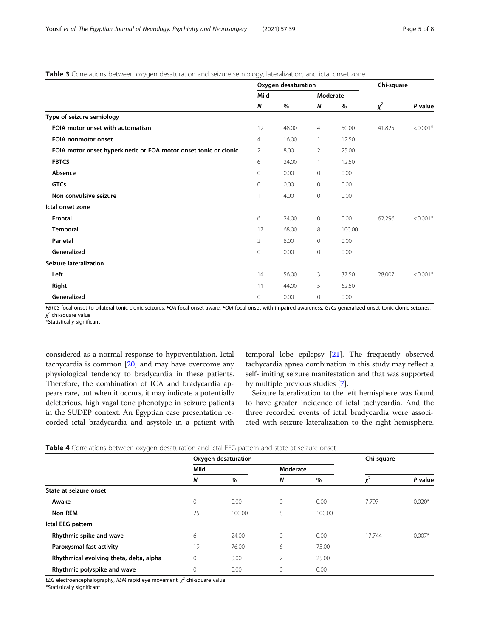#### <span id="page-4-0"></span>Table 3 Correlations between oxygen desaturation and seizure semiology, lateralization, and ictal onset zone

|                                                                  |                | Oxygen desaturation | Chi-square     |        |          |            |  |
|------------------------------------------------------------------|----------------|---------------------|----------------|--------|----------|------------|--|
|                                                                  | Mild           |                     | Moderate       |        |          |            |  |
|                                                                  | N              | %                   | N              | %      | $\chi^2$ | P value    |  |
| Type of seizure semiology                                        |                |                     |                |        |          |            |  |
| FOIA motor onset with automatism                                 | 12             | 48.00               | 4              | 50.00  | 41.825   | $< 0.001*$ |  |
| <b>FOIA nonmotor onset</b>                                       | $\overline{4}$ | 16.00               | $\mathbf{1}$   | 12.50  |          |            |  |
| FOIA motor onset hyperkinetic or FOA motor onset tonic or clonic | $\overline{2}$ | 8.00                | $\overline{2}$ | 25.00  |          |            |  |
| <b>FBTCS</b>                                                     | 6              | 24.00               | 1              | 12.50  |          |            |  |
| Absence                                                          | 0              | 0.00                | $\mathbf 0$    | 0.00   |          |            |  |
| <b>GTCs</b>                                                      | $\Omega$       | 0.00                | $\mathbf{0}$   | 0.00   |          |            |  |
| Non convulsive seizure                                           | 1              | 4.00                | $\mathbf 0$    | 0.00   |          |            |  |
| Ictal onset zone                                                 |                |                     |                |        |          |            |  |
| <b>Frontal</b>                                                   | 6              | 24.00               | $\mathbf 0$    | 0.00   | 62.296   | $< 0.001*$ |  |
| Temporal                                                         | 17             | 68.00               | 8              | 100.00 |          |            |  |
| Parietal                                                         | $\overline{2}$ | 8.00                | $\mathbf 0$    | 0.00   |          |            |  |
| Generalized                                                      | 0              | 0.00                | $\mathbf 0$    | 0.00   |          |            |  |
| <b>Seizure lateralization</b>                                    |                |                     |                |        |          |            |  |
| Left                                                             | 14             | 56.00               | 3              | 37.50  | 28.007   | $< 0.001*$ |  |
| Right                                                            | 11             | 44.00               | 5              | 62.50  |          |            |  |
| Generalized                                                      | 0              | 0.00                | $\mathbf 0$    | 0.00   |          |            |  |

FBTCS focal onset to bilateral tonic-clonic seizures, FOA focal onset aware, FOIA focal onset with impaired awareness, GTCs generalized onset tonic-clonic seizures, χ <sup>2</sup> chi-square value

\*Statistically significant

considered as a normal response to hypoventilation. Ictal tachycardia is common [[20](#page-6-0)] and may have overcome any physiological tendency to bradycardia in these patients. Therefore, the combination of ICA and bradycardia appears rare, but when it occurs, it may indicate a potentially deleterious, high vagal tone phenotype in seizure patients in the SUDEP context. An Egyptian case presentation recorded ictal bradycardia and asystole in a patient with temporal lobe epilepsy [\[21\]](#page-6-0). The frequently observed tachycardia apnea combination in this study may reflect a self-limiting seizure manifestation and that was supported by multiple previous studies [\[7](#page-6-0)].

Seizure lateralization to the left hemisphere was found to have greater incidence of ictal tachycardia. And the three recorded events of ictal bradycardia were associated with seizure lateralization to the right hemisphere.

|  |  | Table 4 Correlations between oxygen desaturation and ictal EEG pattern and state at seizure onset |  |  |  |  |
|--|--|---------------------------------------------------------------------------------------------------|--|--|--|--|
|  |  |                                                                                                   |  |  |  |  |

|                                         |      | Oxygen desaturation | Chi-square     |        |            |          |
|-----------------------------------------|------|---------------------|----------------|--------|------------|----------|
|                                         | Mild |                     | Moderate       |        |            |          |
|                                         | N    | %                   | N              | $\%$   | $v^2$<br>Ā | P value  |
| State at seizure onset                  |      |                     |                |        |            |          |
| Awake                                   | 0    | 0.00                | 0              | 0.00   | 7.797      | $0.020*$ |
| Non REM                                 | 25   | 100.00              | 8              | 100.00 |            |          |
| Ictal EEG pattern                       |      |                     |                |        |            |          |
| Rhythmic spike and wave                 | 6    | 24.00               | $\mathbf{0}$   | 0.00   | 17.744     | $0.007*$ |
| Paroxysmal fast activity                | 19   | 76.00               | 6              | 75.00  |            |          |
| Rhythmical evolving theta, delta, alpha | 0    | 0.00                | $\overline{2}$ | 25.00  |            |          |
| Rhythmic polyspike and wave             | 0    | 0.00                | $\mathbf 0$    | 0.00   |            |          |

EEG electroencephalography, REM rapid eye movement,  $\chi^2$  chi-square value

\*Statistically significant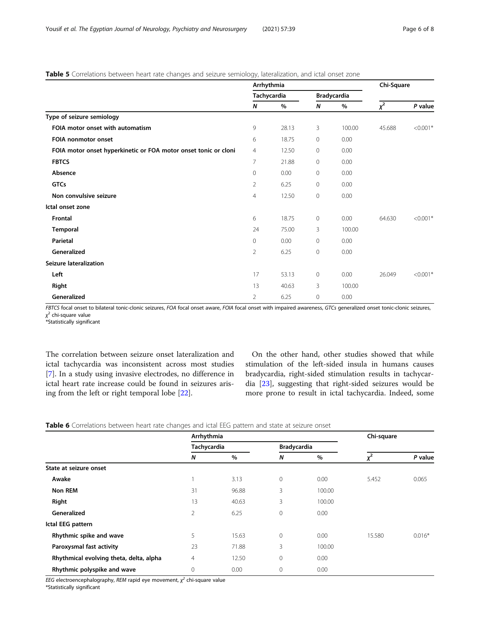#### <span id="page-5-0"></span>Table 5 Correlations between heart rate changes and seizure semiology, lateralization, and ictal onset zone

|                                                                 | Arrhythmia     |             |                    |        | Chi-Square |            |  |
|-----------------------------------------------------------------|----------------|-------------|--------------------|--------|------------|------------|--|
|                                                                 |                | Tachycardia | <b>Bradycardia</b> |        |            |            |  |
|                                                                 | N              | $\%$        | N                  | $\%$   | $\chi^2$   | P value    |  |
| Type of seizure semiology                                       |                |             |                    |        |            |            |  |
| FOIA motor onset with automatism                                | 9              | 28.13       | 3                  | 100.00 | 45.688     | $< 0.001*$ |  |
| <b>FOIA nonmotor onset</b>                                      | 6              | 18.75       | 0                  | 0.00   |            |            |  |
| FOIA motor onset hyperkinetic or FOA motor onset tonic or cloni | $\overline{4}$ | 12.50       | 0                  | 0.00   |            |            |  |
| <b>FBTCS</b>                                                    | $\overline{7}$ | 21.88       | $\circ$            | 0.00   |            |            |  |
| Absence                                                         | $\mathbf 0$    | 0.00        | 0                  | 0.00   |            |            |  |
| <b>GTCs</b>                                                     | $\overline{2}$ | 6.25        | 0                  | 0.00   |            |            |  |
| Non convulsive seizure                                          | 4              | 12.50       | $\circ$            | 0.00   |            |            |  |
| Ictal onset zone                                                |                |             |                    |        |            |            |  |
| <b>Frontal</b>                                                  | 6              | 18.75       | $\mathbf 0$        | 0.00   | 64.630     | $< 0.001*$ |  |
| Temporal                                                        | 24             | 75.00       | 3                  | 100.00 |            |            |  |
| Parietal                                                        | 0              | 0.00        | $\circ$            | 0.00   |            |            |  |
| Generalized                                                     | $\overline{2}$ | 6.25        | $\circ$            | 0.00   |            |            |  |
| <b>Seizure lateralization</b>                                   |                |             |                    |        |            |            |  |
| Left                                                            | 17             | 53.13       | 0                  | 0.00   | 26.049     | $< 0.001*$ |  |
| Right                                                           | 13             | 40.63       | 3                  | 100.00 |            |            |  |
| Generalized                                                     | $\overline{2}$ | 6.25        | $\mathbf 0$        | 0.00   |            |            |  |

FBTCS focal onset to bilateral tonic-clonic seizures, FOA focal onset aware, FOIA focal onset with impaired awareness, GTCs generalized onset tonic-clonic seizures, χ <sup>2</sup> chi-square value

\*Statistically significant

The correlation between seizure onset lateralization and ictal tachycardia was inconsistent across most studies [[7\]](#page-6-0). In a study using invasive electrodes, no difference in ictal heart rate increase could be found in seizures arising from the left or right temporal lobe [[22\]](#page-7-0).

On the other hand, other studies showed that while stimulation of the left-sided insula in humans causes bradycardia, right-sided stimulation results in tachycardia [[23\]](#page-7-0), suggesting that right-sided seizures would be more prone to result in ictal tachycardia. Indeed, some

|  |  | Table 6 Correlations between heart rate changes and ictal EEG pattern and state at seizure onset |  |  |  |  |  |  |  |  |  |  |
|--|--|--------------------------------------------------------------------------------------------------|--|--|--|--|--|--|--|--|--|--|
|--|--|--------------------------------------------------------------------------------------------------|--|--|--|--|--|--|--|--|--|--|

|                                         | Arrhythmia       |       | Chi-square         |        |                      |          |
|-----------------------------------------|------------------|-------|--------------------|--------|----------------------|----------|
|                                         | Tachycardia      |       | <b>Bradycardia</b> |        |                      |          |
|                                         | $\boldsymbol{N}$ | $\%$  | N                  | $\%$   | $\mathcal{V}^2$<br>Λ | P value  |
| State at seizure onset                  |                  |       |                    |        |                      |          |
| Awake                                   |                  | 3.13  | $\mathbf{0}$       | 0.00   | 5.452                | 0.065    |
| <b>Non REM</b>                          | 31               | 96.88 | 3                  | 100.00 |                      |          |
| Right                                   | 13               | 40.63 | 3                  | 100.00 |                      |          |
| Generalized                             | $\overline{2}$   | 6.25  | $\mathbf{0}$       | 0.00   |                      |          |
| Ictal EEG pattern                       |                  |       |                    |        |                      |          |
| Rhythmic spike and wave                 | 5                | 15.63 | $\mathbf{0}$       | 0.00   | 15.580               | $0.016*$ |
| Paroxysmal fast activity                | 23               | 71.88 | 3                  | 100.00 |                      |          |
| Rhythmical evolving theta, delta, alpha | $\overline{4}$   | 12.50 | $\mathbf{0}$       | 0.00   |                      |          |
| Rhythmic polyspike and wave             | 0                | 0.00  | 0                  | 0.00   |                      |          |

EEG electroencephalography, REM rapid eye movement,  $\chi^2$  chi-square value

\*Statistically significant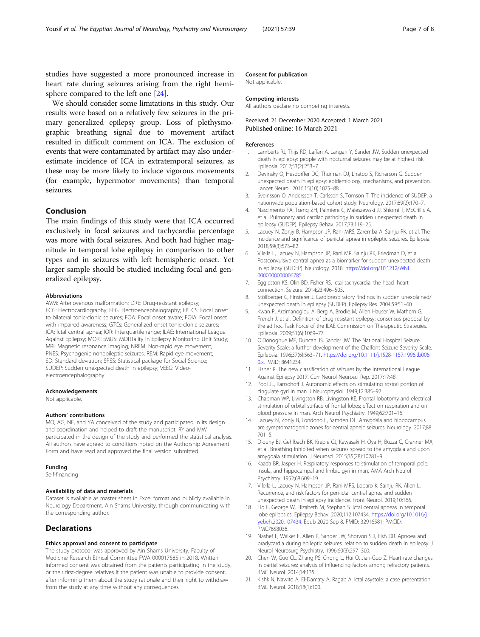<span id="page-6-0"></span>studies have suggested a more pronounced increase in heart rate during seizures arising from the right hemisphere compared to the left one [[24\]](#page-7-0).

We should consider some limitations in this study. Our results were based on a relatively few seizures in the primary generalized epilepsy group. Loss of plethysmographic breathing signal due to movement artifact resulted in difficult comment on ICA. The exclusion of events that were contaminated by artifact may also underestimate incidence of ICA in extratemporal seizures, as these may be more likely to induce vigorous movements (for example, hypermotor movements) than temporal seizures.

### Conclusion

The main findings of this study were that ICA occurred exclusively in focal seizures and tachycardia percentage was more with focal seizures. And both had higher magnitude in temporal lobe epilepsy in comparison to other types and in seizures with left hemispheric onset. Yet larger sample should be studied including focal and generalized epilepsy.

#### Abbreviations

AVM: Arteriovenous malformation; DRE: Drug-resistant epilepsy; ECG: Electrocardiography; EEG: Electroencephalography; FBTCS: Focal onset to bilateral tonic-clonic seizures; FOA: Focal onset aware; FOIA: Focal onset with impaired awareness; GTCs: Generalized onset tonic-clonic seizures; ICA: Ictal central apnea; IQR: Interquartile range; ILAE: International League Against Epilepsy; MORTEMUS: MORTality in Epilepsy Monitoring Unit Study; MRI: Magnetic resonance imaging; NREM: Non-rapid eye movement; PNES: Psychogenic nonepileptic seizures; REM: Rapid eye movement; SD: Standard deviation; SPSS: Statistical package for Social Science; SUDEP: Sudden unexpected death in epilepsy; VEEG: Videoelectroencephalography

#### Acknowledgements

Not applicable.

#### Authors' contributions

MO, AG, NE, and YA conceived of the study and participated in its design and coordination and helped to draft the manuscript. RY and MW participated in the design of the study and performed the statistical analysis. All authors have agreed to conditions noted on the Authorship Agreement Form and have read and approved the final version submitted.

#### Funding

Self-financing

#### Availability of data and materials

Dataset is available as master sheet in Excel format and publicly available in Neurology Department, Ain Shams University, through communicating with the corresponding author.

#### **Declarations**

#### Ethics approval and consent to participate

The study protocol was approved by Ain Shams University, Faculty of Medicine Research Ethical Committee FWA 000017585 in 2018. Written informed consent was obtained from the patients participating in the study, or their first-degree relatives if the patient was unable to provide consent, after informing them about the study rationale and their right to withdraw from the study at any time without any consequences.

#### Consent for publication

Not applicable.

#### Competing interests

All authors declare no competing interests.

#### Received: 21 December 2020 Accepted: 1 March 2021 Published online: 16 March 2021

#### References

- Lamberts RJ, Thijs RD, Laffan A, Langan Y, Sander JW. Sudden unexpected death in epilepsy: people with nocturnal seizures may be at highest risk. Epilepsia. 2012;53(2):253–7.
- 2. Devinsky O, Hesdorffer DC, Thurman DJ, Lhatoo S, Richerson G. Sudden unexpected death in epilepsy: epidemiology, mechanisms, and prevention. Lancet Neurol. 2016;15(10):1075–88.
- 3. Sveinsson O, Andersson T, Carlsson S, Tomson T. The incidence of SUDEP: a nationwide population-based cohort study. Neurology. 2017;89(2):170–7.
- 4. Nascimento FA, Tseng ZH, Palmiere C, Maleszewski JJ, Shiomi T, McCrillis A, et al. Pulmonary and cardiac pathology in sudden unexpected death in epilepsy (SUDEP). Epilepsy Behav. 2017;73:119–25.
- 5. Lacuey N, Zonjy B, Hampson JP, Rani MRS, Zaremba A, Sainju RK, et al. The incidence and significance of periictal apnea in epileptic seizures. Epilepsia. 2018;59(3):573–82.
- 6. Vilella L, Lacuey N, Hampson JP, Rani MR, Sainju RK, Friedman D, et al. Postconvulsive central apnea as a biomarker for sudden unexpected death in epilepsy (SUDEP). Neurology. 2018. [https://doi.org/10.1212/WNL.](https://doi.org/10.1212/WNL.0000000000006785) [0000000000006785](https://doi.org/10.1212/WNL.0000000000006785).
- 7. Eggleston KS, Olin BD, Fisher RS. Ictal tachycardia: the head–heart connection. Seizure. 2014;23:496–505.
- 8. Stöllberger C, Finsterer J. Cardiorespiratory findings in sudden unexplained/ unexpected death in epilepsy (SUDEP). Epilepsy Res. 2004;59:51–60.
- 9. Kwan P, Arzimanoglou A, Berg A, Brodie M, Allen Hauser W, Mathern G, French J, et al. Definition of drug resistant epilepsy: consensus proposal by the ad hoc Task Force of the ILAE Commission on Therapeutic Strategies. Epilepsia. 2009;51(6):1069–77.
- 10. O'Donoghue MF, Duncan JS, Sander JW. The National Hospital Seizure Severity Scale: a further development of the Chalfont Seizure Severity Scale. Epilepsia. 1996;37(6):563–71. [https://doi.org/10.1111/j.1528-1157.1996.tb0061](https://doi.org/10.1111/j.1528-1157.1996.tb00610.x) [0.x](https://doi.org/10.1111/j.1528-1157.1996.tb00610.x). PMID: 8641234.
- 11. Fisher R. The new classification of seizures by the International League Against Epilepsy 2017. Curr Neurol Neurosci Rep. 2017;17:48.
- 12. Pool JL, Ransohoff J. Autonomic effects on stimulating rostral portion of cingulate gyri in man. J Neurophysiol. 1949;12:385–92.
- 13. Chapman WP, Livingston RB, Livingston KE. Frontal lobotomy and electrical stimulation of orbital surface of frontal lobes; effect on respiration and on blood pressure in man. Arch Neurol Psychiatry. 1949;62:701–16.
- 14. Lacuey N, Zonjy B, Londono L, Samden DL. Amygdala and hippocampus are symptomatogenic zones for central apneic seizures. Neurology. 2017;88: 701–5.
- 15. Dlouhy BJ, Gehlbach BK, Kreple CJ, Kawasaki H, Oya H, Buzza C, Granner MA, et al. Breathing inhibited when seizures spread to the amygdala and upon amygdala stimulation. J Neurosci. 2015;35(28):10281–9.
- 16. Kaada BR, Jasper H. Respiratory responses to stimulation of temporal pole, insula, and hippocampal and limbic gyri in man. AMA Arch Neurol Psychiatry. 1952;68:609–19.
- 17. Vilella L, Lacuey N, Hampson JP, Rani MRS, Loparo K, Sainju RK, Allen L. Recurrence, and risk factors for peri-ictal central apnea and sudden unexpected death in epilepsy incidence. Front Neurol. 2019;10:166.
- 18. Tio E, George W, Elizabeth M, Stephan S. Ictal central apneas in temporal lobe epilepsies. Epilepsy Behav. 2020;112:107434. [https://doi.org/10.1016/j.](https://doi.org/10.1016/j.yebeh.2020.107434) [yebeh.2020.107434.](https://doi.org/10.1016/j.yebeh.2020.107434) Epub 2020 Sep 8. PMID: 32916581; PMCID: PMC7658036.
- 19. Nashef L, Walker F, Allen P, Sander JW, Shorvon SD, Fish DR. Apnoea and bradycardia during epileptic seizures: relation to sudden death in epilepsy. J Neurol Neurosurg Psychiatry. 1996;60(3):297–300.
- 20. Chen W, Guo CL, Zhang PS, Chong L, Hui Q, Jian-Guo Z. Heart rate changes in partial seizures: analysis of influencing factors among refractory patients. BMC Neurol. 2014;14:135.
- 21. Kishk N, Nawito A, El-Damaty A, Ragab A. Ictal asystole: a case presentation. BMC Neurol. 2018;18(1):100.